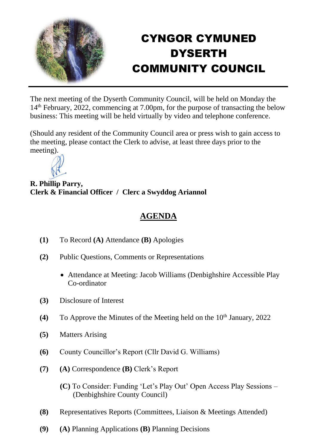

## CYNGOR CYMUNED DYSERTH COMMUNITY COUNCIL

The next meeting of the Dyserth Community Council, will be held on Monday the 14th February, 2022, commencing at 7.00pm, for the purpose of transacting the below business: This meeting will be held virtually by video and telephone conference.

(Should any resident of the Community Council area or press wish to gain access to the meeting, please contact the Clerk to advise, at least three days prior to the meeting).



**R. Phillip Parry, Clerk & Financial Officer / Clerc a Swyddog Ariannol**

## **AGENDA**

- **(1)** To Record **(A)** Attendance **(B)** Apologies
- **(2)** Public Questions, Comments or Representations
	- Attendance at Meeting: Jacob Williams (Denbighshire Accessible Play Co-ordinator
- **(3)** Disclosure of Interest
- **(4)** To Approve the Minutes of the Meeting held on the  $10<sup>th</sup>$  January, 2022
- **(5)** Matters Arising
- **(6)** County Councillor's Report (Cllr David G. Williams)
- **(7) (A)** Correspondence **(B)** Clerk's Report
	- **(C)** To Consider: Funding 'Let's Play Out' Open Access Play Sessions (Denbighshire County Council)
- **(8)** Representatives Reports (Committees, Liaison & Meetings Attended)
- **(9) (A)** Planning Applications **(B)** Planning Decisions